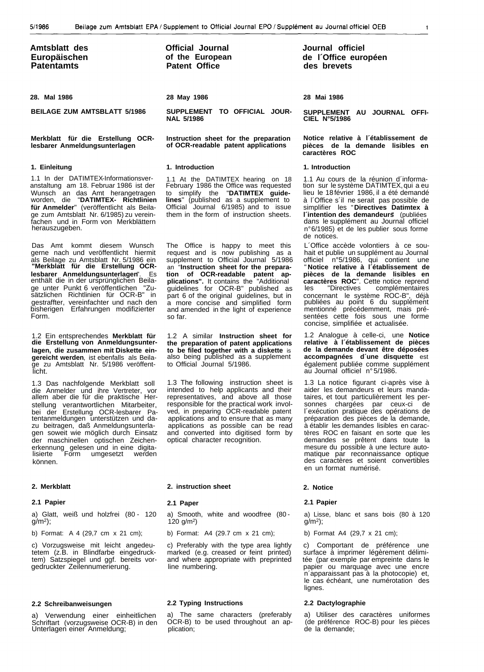| Amtsblatt des     |  |
|-------------------|--|
| Europäischen      |  |
| <b>Patentamts</b> |  |

## **Merkblatt für die Erstellung OCRlesbarer Anmeldungsunterlagen**

#### **1. Einleitung**

1.1 In der DATIMTEX-Informationsveranstaltung am 18. Februar 1986 ist der Wunsch an das Amt herangetragen worden, die "**DATIMTEX- Richtlinien für Anmelder**" (veröffentlicht als Beilage zum Amtsblatt Nr. 6/1985) zu vereinfachen und in Form von Merkblättern herauszugeben.

Das Amt kommt diesem Wunsch gerne nach und veröffentlicht hiermit als Beilage zu Amtsblatt Nr. 5/1986 ein **"Merkblatt für die Erstellung OCRlesbarer Anmeldungsunterlagen**". Es enthält die in der ursprünglichen Beilage unter Punkt 6 veröffentlichen "Zusätzlichen Richtlinien für OCR-B" in gestraffter, vereinfachter und nach den bisherigen Erfahrungen modifizierter Form.

1.2 Ein entsprechendes **Merkblatt für die Erstellung von Anmeldungsunterlagen, die zusammen mit Diskette eingereicht werden**, ist ebenfalls als Beilage zu Amtsblatt Nr. 5/1986 veröffentlicht.

1.3 Das nachfolgende Merkblatt soll die Anmelder und ihre Vertreter, vor allem aber die für die praktische Herstellung verantwortlichen Mitarbeiter, bei der Erstellung OCR-lesbarer Pa-tentanmeldungen unterstützen und dazu beitragen, daß Anmeldungsunterlagen soweit wie möglich durch Einsatz der maschinellen optischen Zeichenerkennung gelesen und in eine digita-lisierte Form umgesetzt werden können.

# **2. Merkblatt**

#### **2.1 Papier**

a) Glatt, weiß und holzfrei (80 - 120  $g/m^2$ ;

b) Format: A 4 (29,7 cm x 21 cm);

c) Vorzugsweise mit leicht angedeutetem (z.B. in Blindfarbe eingedrucktem) Satzspiegel und ggf. bereits vorgedruckter Zeilennumerierung.

### **2.2 Schreibanweisungen**

a) Verwendung einer einheitlichen Schriftart (vorzugsweise OCR-B) in den Unterlagen einer Anmeldung;

**Official Journal of the European Patent Office**

# **28 May 1986**

**SUPPLEMENT TO OFFICIAL JOUR-NAL 5/1986**

**Instruction sheet for the preparation of OCR-readable patent applications**

#### **1. Introduction**

1.1 At the DATIMTEX hearing on 18 February 1986 the Office was requested<br>to simplify the "DATIMTEX quide-"DATIMTEX guide**lines**" (published as a supplement to Official Journal 6/1985) and to issue them in the form of instruction sheets.

The Office is happy to meet this request and is now publishing as a supplement to Official Journal 5/1986 an "**Instruction sheet for the preparation of OCR-readable patent applications".** It contains the "Additional guidelines for OCR-B" published as part 6 of the original guidelines, but in a more concise and simplified form and amended in the light of experience so far.

1.2 A similar **Instruction sheet for the preparation of patent applications to be filed together with a diskette** is also being published as a supplement to Official Journal 5/1986.

1.3 The following instruction sheet is intended to help applicants and their representatives, and above all those responsible for the practical work involved, in preparing OCR-readable patent applications and to ensure that as many applications as possible can be read and converted into digitised form by optical character recognition.

## **2. instruction sheet**

### **2.1 Paper**

a) Smooth, white and woodfree (80 - 120 g/m2)

b) Format: A4 (29.7 cm x 21 cm);

c) Preferably with the type area lightly marked (e.g. creased or feint printed) and where appropriate with preprinted line numbering.

# **2.2 Typing Instructions**

The same characters (preferably OCR-B) to be used throughout an application;

**Journal officiel de l´Office européen des brevets**

# **28 Mai 1986**

**SUPPLEMENT AU JOURNAL OFFI-CIEL N°5/1986**

**Notice relative à l´établissement de pièces de la demande lisibles en caractères ROC**

#### **1. Introduction**

1.1 Au cours de la réunion d´information sur le système DATIMTEX, qui a eu lieu le 18 février 1986, il a été demandé à l´Office s´il ne serait pas possible de simplifier les "**Directives Datimtex à l´intention des demandeurs**" (publiées dans le supplément au Journal officiel n° 6/1985) et de les publier sous forme de notices.

L´Office accède volontiers à ce souhait et publie un supplément au Journal officiel n°5/1986, qui contient une " **Notice relative à l´établissement de pièces de la demande lisibles en caractères ROC**". Cette notice reprend les "Directives complémentaires concernant le système ROC-B", déjà publiées au point 6 du supplément mentionné précédemment, mais présentées cette fois sous une forme concise, simplifiée et actualisée.

1.2 Analogue à celle-ci, une **Notice relative à l´établissement de pièces de la demande devant être déposées accompagnées d´une disquette** est également publiée comme supplément au Journal officiel n° 5/1986.

1.3 La notice figurant ci-après vise à aider les demandeurs et leurs mandataires, et tout particulièrement les personnes chargées par ceux-ci de l´exécution pratique des opérations de préparation des pièces de la demande, à établir les demandes lisibles en caractères ROC en faisant en sorte que les demandes se prêtent dans toute la mesure du possible à une lecture automatique par reconnaissance optique des caractères et soient convertibles en un format numérisé.

#### **2. Notice**

# **2.1 Papier**

a) Lisse, blanc et sans bois (80 à 120  $g/m^2$ );

b) Format A4 (29,7 x 21 cm);

c) Comportant de préférence une surface à imprimer légèrement délimitée (par exemple par empreinte dans le papier ou marquage avec une encre n´apparaissant pas à la photocopie) et, le cas échéant, une numérotation des lignes.

# **2.2 Dactylographie**

a) Utiliser des caractères uniformes (de préférence ROC-B) pour les pièces de la demande;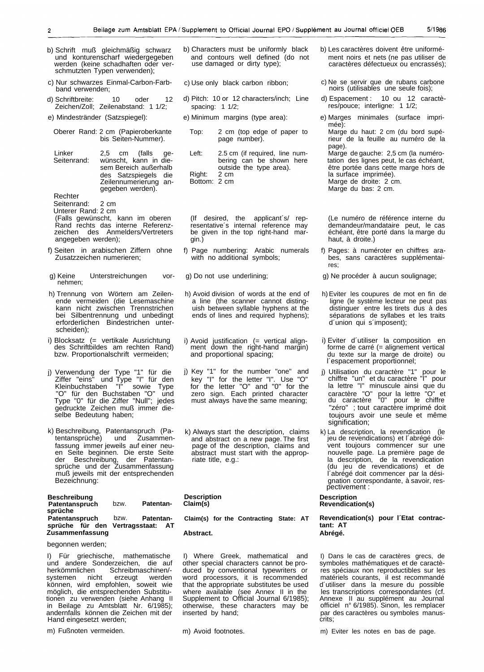- b) Schrift muß gleichmäßig schwarz und konturenscharf wiedergegeben werden (keine schadhaften oder verschmutzten Typen verwenden);
- c) Nur schwarzes Einmal-Carbon-Farbband verwenden;
- d) Schriftbreite: 10 oder 12 Zeichen/Zoll; Zeilenabstand: 1 1/2;
- e) Mindestränder (Satzspiegel):
- Oberer Rand: 2 cm (Papieroberkante bis Seiten-Nummer).
- Linker 2,5 cm (falls ge-Seitenrand: wünscht, kann in diesem Bereich außerhalb des Satzspiegels die Zeilennumerierung angegeben werden).

Rechter

# Seitenrand: 2 cm

Unterer Rand: 2 cm

- (Falls gewünscht, kann im oberen Rand rechts das interne Referenzzeichen des Anmelders/Vertreters angegeben werden);
- f) Seiten in arabischen Ziffern ohne Zusatzzeichen numerieren;
- g) Keine Unterstreichungen vornehmen;
- h) Trennung von Wörtern am Zeilenende vermeiden (die Lesemaschine kann nicht zwischen Trennstrichen bei Silbentrennung und unbedingt erforderlichen Bindestrichen unterscheiden);
- i) Blocksatz (= vertikale Ausrichtung des Schriftbildes am rechten Rand) bzw. Proportionalschrift vermeiden;
- j) Verwendung der Type "1" für die Ziffer "eins" und Type "I" für den Kleinbuchstaben "I" sowie Type "O" für den Buchstaben "O" und Type "0" für die Ziffer "Null"; jedes gedruckte Zeichen muß immer dieselbe Bedeutung haben;
- k) Beschreibung, Patentanspruch (Patentansprüche) und Zusammenfassung immer jeweils auf einer neuen Seite beginnen. Die erste Seite<br>der Beschreibung, der Patentander Beschreibung, sprüche und der Zusammenfassung muß jeweils mit der entsprechenden Bezeichnung:

| <b>Beschreibung</b><br>Patentanspruch<br>sprüche     | bzw. | <b>Patentan-</b>                      |
|------------------------------------------------------|------|---------------------------------------|
| Patentanspruch<br>sprüche für den<br>Zusammenfassung | bzw. | <b>Patentan-</b><br>Vertragsstaat: AT |

# begonnen werden;

I) Für griechische, mathematische und andere Sonderzeichen, die auf herkömmlichen Schreibmaschinen/-<br>systemen nicht erzeugt werden erzeugt können, wird empfohlen, soweit wie möglich, die entsprechenden Substitutionen zu verwenden (siehe Anhang II in Beilage zu Amtsblatt Nr. 6/1985); andernfalls können die Zeichen mit der Hand eingesetzt werden;

m) Fußnoten vermeiden.

- b) Characters must be uniformly black and contours well defined (do not use damaged or dirty type);
- c) Use only black carbon ribbon;
- d) Pitch: 10 or 12 characters/inch; Line spacing: 1 1/2;
- e) Minimum margins (type area):
	- Top: 2 cm (top edge of paper to page number).
	- Left: 2.5 cm (if required, line numbering can be shown here outside the type area).<br>2 cm Right: Bottom: 2 cm

(If desired, the applicant´s/ representative´s internal reference may be given in the top right-hand margin.)

- f) Page numbering: Arabic numerals with no additional symbols;
- g) Do not use underlining;
- h) Avoid division of words at the end of a line (the scanner cannot distinguish between syllable hyphens at the ends of lines and required hyphens);
- i) Avoid justification (= vertical align- ment down the right-hand margin) and proportional spacing;
- j) Key "1" for the number "one" and key "I" for the letter "I". Use "O" for the letter "O" and "0" for the zero sign. Each printed character must always have the same meaning;
- k) Always start the description, claims and abstract on a new page. The first page of the description, claims and abstract must start with the appropriate title, e.g.:

#### **Description Claim(s)**

**Claim(s) for the Contracting State: AT**

# **Abstract.**

I) Where Greek, mathematical and other special characters cannot be produced by conventional typewriters or word processors, it is recommended that the appropriate substitutes be used where available (see Annex II in the Supplement to Official Journal 6/1985); otherwise, these characters may be inserted by hand;

m) Avoid footnotes.

- b) Les caractères doivent être uniformément noirs et nets (ne pas utiliser de caractères défectueux ou encrassés);
- c) Ne se servir que de rubans carbone noirs (utilisables une seule fois);
- d) Espacement : 10 ou 12 caractères/pouce; interligne: 1 1/2;
- e) Marges minimales (surface imprimée): Marge du haut: 2 cm (du bord supérieur de la feuille au numéro de la page). Marge de gauche: 2,5 cm (la numérotation des lignes peut, le cas échéant, être portée dans cette marge hors de la surface imprimée). Marge de droite: 2 cm.

Marge du bas: 2 cm.

(Le numéro de référence interne du demandeur/mandataire peut, le cas échéant, être porté dans la marge du haut, à droite.)

f) Pages: à numéroter en chiffres arabes, sans caractères supplémentaires;

g) Ne procéder à aucun soulignage;

- h) Eviter les coupures de mot en fin de ligne (le système lecteur ne peut pas distinguer entre les tirets dus à des séparations de syllabes et les traits d´union qui s´imposent);
- i) Eviter d´utiliser la composition en forme de carré (= alignement vertical du texte sur la marge de droite) ou l´espacement proportionnel;
- j) Utilisation du caractère "1" pour le chiffre "un" et du caractère "I" pour la lettre "I" minuscule ainsi que du caractère "O" pour la lettre "O" et du caractère "0" pour le chiffre "zéro" ; tout caractère imprimé doit toujours avoir une seule et même signification;
- k) La description, la revendication (le jeu de revendications) et l´abrégé doivent toujours commencer sur une nouvelle page. La première page de la description, de la revendication (du jeu de revendications) et de l´abrégé doit commencer par la désignation correspondante, à savoir, respectivement :

# **Description**

# **Revendication(s)**

**Revendication(s) pour l´Etat contractant: AT Abrégé.**

I) Dans le cas de caractères grecs, de symboles mathématiques et de caractères spéciaux non reproductibles sur les matériels courants, il est recommandé d´utiliser dans la mesure du possible les transcriptions correspondantes (cf. Annexe II au supplément au Journal officiel n° 6/1985). Sinon, les remplacer par des caractères ou symboles manuscrits;

m) Eviter les notes en bas de page.